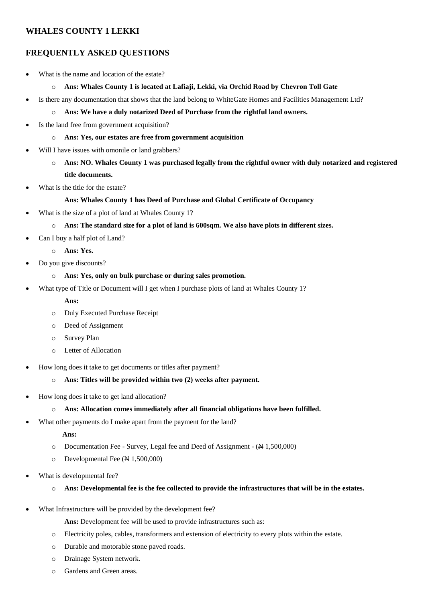## **WHALES COUNTY 1 LEKKI**

# **FREQUENTLY ASKED QUESTIONS**

- What is the name and location of the estate?
	- o **Ans: Whales County 1 is located at Lafiaji, Lekki, via Orchid Road by Chevron Toll Gate**
- Is there any documentation that shows that the land belong to WhiteGate Homes and Facilities Management Ltd?
	- o **Ans: We have a duly notarized Deed of Purchase from the rightful land owners.**
- Is the land free from government acquisition?
	- o **Ans: Yes, our estates are free from government acquisition**
- Will I have issues with omonile or land grabbers?
	- o **Ans: NO. Whales County 1 was purchased legally from the rightful owner with duly notarized and registered title documents.**
- What is the title for the estate?

## **Ans: Whales County 1 has Deed of Purchase and Global Certificate of Occupancy**

- What is the size of a plot of land at Whales County 1?
	- o **Ans: The standard size for a plot of land is 600sqm. We also have plots in different sizes.**
- Can I buy a half plot of Land?
	- o **Ans: Yes.**
- Do you give discounts?

### o **Ans: Yes, only on bulk purchase or during sales promotion.**

- What type of Title or Document will I get when I purchase plots of land at Whales County 1?
	- **Ans:**
	- o Duly Executed Purchase Receipt
	- o Deed of Assignment
	- o Survey Plan
	- o Letter of Allocation
- How long does it take to get documents or titles after payment?
	- o **Ans: Titles will be provided within two (2) weeks after payment.**
- How long does it take to get land allocation?
	- o **Ans: Allocation comes immediately after all financial obligations have been fulfilled.**
- What other payments do I make apart from the payment for the land?

#### **Ans:**

- o Documentation Fee Survey, Legal fee and Deed of Assignment (N 1,500,000)
- o Developmental Fee (N 1,500,000)
- What is developmental fee?
	- o **Ans: Developmental fee is the fee collected to provide the infrastructures that will be in the estates.**
- What Infrastructure will be provided by the development fee?
	- **Ans:** Development fee will be used to provide infrastructures such as:
	- o Electricity poles, cables, transformers and extension of electricity to every plots within the estate.
	- o Durable and motorable stone paved roads.
	- o Drainage System network.
	- o Gardens and Green areas.